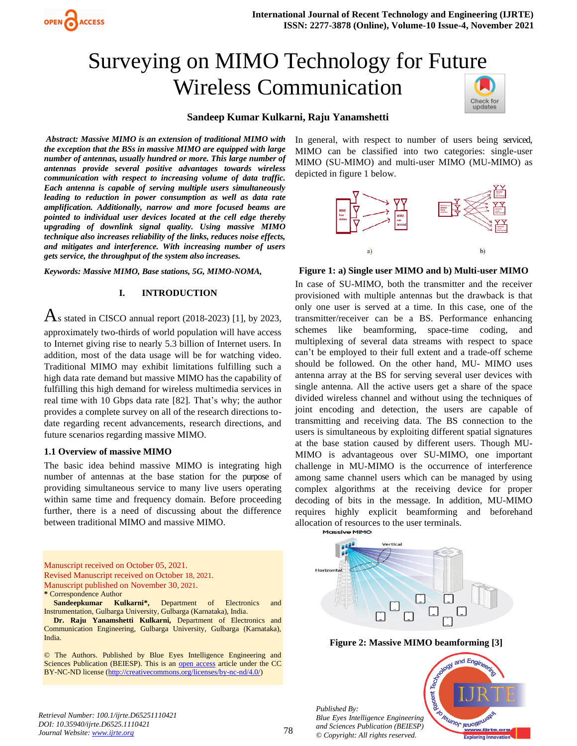

#### **Sandeep Kumar Kulkarni, Raju Yanamshetti**

*Abstract: Massive MIMO is an extension of traditional MIMO with the exception that the BSs in massive MIMO are equipped with large number of antennas, usually hundred or more. This large number of antennas provide several positive advantages towards wireless communication with respect to increasing volume of data traffic. Each antenna is capable of serving multiple users simultaneously leading to reduction in power consumption as well as data rate amplification. Additionally, narrow and more focused beams are pointed to individual user devices located at the cell edge thereby upgrading of downlink signal quality. Using massive MIMO technique also increases reliability of the links, reduces noise effects, and mitigates and interference. With increasing number of users gets service, the throughput of the system also increases.*

*Keywords: Massive MIMO, Base stations, 5G, MIMO-NOMA,*

#### **I. INTRODUCTION**

 $\overline{\text{A}}$ s stated in CISCO annual report (2018-2023) [1], by 2023, approximately two-thirds of world population will have access to Internet giving rise to nearly 5.3 billion of Internet users. In

addition, most of the data usage will be for watching video. Traditional MIMO may exhibit limitations fulfilling such a high data rate demand but massive MIMO has the capability of fulfilling this high demand for wireless multimedia services in real time with 10 Gbps data rate [82]. That's why; the author provides a complete survey on all of the research directions todate regarding recent advancements, research directions, and future scenarios regarding massive MIMO.

#### **1.1 Overview of massive MIMO**

**ACCESS** 

The basic idea behind massive MIMO is integrating high number of antennas at the base station for the purpose of providing simultaneous service to many live users operating within same time and frequency domain. Before proceeding further, there is a need of discussing about the difference between traditional MIMO and massive MIMO.

Manuscript received on October 05, 2021. Revised Manuscript received on October 18, 2021. Manuscript published on November 30, 2021.

**\*** Correspondence Author

**Sandeepkumar Kulkarni\*,** Department of Electronics and Instrumentation, Gulbarga University, Gulbarga (Karnataka), India.

**Dr. Raju Yanamshetti Kulkarni,** Department of Electronics and Communication Engineering, Gulbarga University, Gulbarga (Karnataka), India.

© The Authors. Published by Blue Eyes Intelligence Engineering and Sciences Publication (BEIESP). This is an [open access](https://www.openaccess.nl/en/open-publications) article under the CC BY-NC-ND license [\(http://creativecommons.org/licenses/by-nc-nd/4.0/\)](http://creativecommons.org/licenses/by-nc-nd/4.0/)

In general, with respect to number of users being serviced, MIMO can be classified into two categories: single-user MIMO (SU-MIMO) and multi-user MIMO (MU-MIMO) as depicted in figure 1 below.



#### **Figure 1: a) Single user MIMO and b) Multi-user MIMO**

In case of SU-MIMO, both the transmitter and the receiver provisioned with multiple antennas but the drawback is that only one user is served at a time. In this case, one of the transmitter/receiver can be a BS. Performance enhancing schemes like beamforming, space-time coding, and multiplexing of several data streams with respect to space can't be employed to their full extent and a trade-off scheme should be followed. On the other hand, MU- MIMO uses antenna array at the BS for serving several user devices with single antenna. All the active users get a share of the space divided wireless channel and without using the techniques of joint encoding and detection, the users are capable of transmitting and receiving data. The BS connection to the users is simultaneous by exploiting different spatial signatures at the base station caused by different users. Though MU-MIMO is advantageous over SU-MIMO, one important challenge in MU-MIMO is the occurrence of interference among same channel users which can be managed by using complex algorithms at the receiving device for proper decoding of bits in the message. In addition, MU-MIMO requires highly explicit beamforming and beforehand allocation of resources to the user terminals.<br>Massive MIMO



**Figure 2: Massive MIMO beamforming [3]**

*Published By: Blue Eyes Intelligence Engineering and Sciences Publication (BEIESP) © Copyright: All rights reserved.*



*Retrieval Number: 100.1/ijrte.D65251110421 DOI: 10.35940/ijrte.D6525.1110421 Journal Website[: www.ijrte.org](http://www.ijrte.org/)*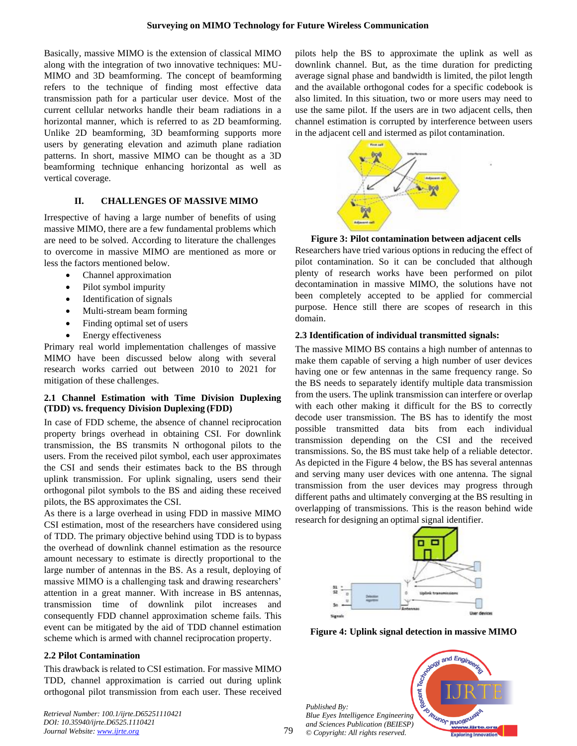Basically, massive MIMO is the extension of classical MIMO along with the integration of two innovative techniques: MU-MIMO and 3D beamforming. The concept of beamforming refers to the technique of finding most effective data transmission path for a particular user device. Most of the current cellular networks handle their beam radiations in a horizontal manner, which is referred to as 2D beamforming. Unlike 2D beamforming, 3D beamforming supports more users by generating elevation and azimuth plane radiation patterns. In short, massive MIMO can be thought as a 3D beamforming technique enhancing horizontal as well as vertical coverage.

# **II. CHALLENGES OF MASSIVE MIMO**

Irrespective of having a large number of benefits of using massive MIMO, there are a few fundamental problems which are need to be solved. According to literature the challenges to overcome in massive MIMO are mentioned as more or less the factors mentioned below.

- Channel approximation
- Pilot symbol impurity
- Identification of signals
- Multi-stream beam forming
- Finding optimal set of users
- Energy effectiveness

Primary real world implementation challenges of massive MIMO have been discussed below along with several research works carried out between 2010 to 2021 for mitigation of these challenges.

# **2.1 Channel Estimation with Time Division Duplexing (TDD) vs. frequency Division Duplexing (FDD)**

In case of FDD scheme, the absence of channel reciprocation property brings overhead in obtaining CSI. For downlink transmission, the BS transmits N orthogonal pilots to the users. From the received pilot symbol, each user approximates the CSI and sends their estimates back to the BS through uplink transmission. For uplink signaling, users send their orthogonal pilot symbols to the BS and aiding these received pilots, the BS approximates the CSI.

As there is a large overhead in using FDD in massive MIMO CSI estimation, most of the researchers have considered using of TDD. The primary objective behind using TDD is to bypass the overhead of downlink channel estimation as the resource amount necessary to estimate is directly proportional to the large number of antennas in the BS. As a result, deploying of massive MIMO is a challenging task and drawing researchers' attention in a great manner. With increase in BS antennas, transmission time of downlink pilot increases and consequently FDD channel approximation scheme fails. This event can be mitigated by the aid of TDD channel estimation scheme which is armed with channel reciprocation property.

# **2.2 Pilot Contamination**

This drawback is related to CSI estimation. For massive MIMO TDD, channel approximation is carried out during uplink orthogonal pilot transmission from each user. These received

*Retrieval Number: 100.1/ijrte.D65251110421 DOI: 10.35940/ijrte.D6525.1110421 Journal Website[: www.ijrte.org](http://www.ijrte.org/)*

pilots help the BS to approximate the uplink as well as downlink channel. But, as the time duration for predicting average signal phase and bandwidth is limited, the pilot length and the available orthogonal codes for a specific codebook is also limited. In this situation, two or more users may need to use the same pilot. If the users are in two adjacent cells, then channel estimation is corrupted by interference between users in the adjacent cell and istermed as pilot contamination.



# **Figure 3: Pilot contamination between adjacent cells**

Researchers have tried various options in reducing the effect of pilot contamination. So it can be concluded that although plenty of research works have been performed on pilot decontamination in massive MIMO, the solutions have not been completely accepted to be applied for commercial purpose. Hence still there are scopes of research in this domain.

# **2.3 Identification of individual transmitted signals:**

The massive MIMO BS contains a high number of antennas to make them capable of serving a high number of user devices having one or few antennas in the same frequency range. So the BS needs to separately identify multiple data transmission from the users. The uplink transmission can interfere or overlap with each other making it difficult for the BS to correctly decode user transmission. The BS has to identify the most possible transmitted data bits from each individual transmission depending on the CSI and the received transmissions. So, the BS must take help of a reliable detector. As depicted in the Figure 4 below, the BS has several antennas and serving many user devices with one antenna. The signal transmission from the user devices may progress through different paths and ultimately converging at the BS resulting in overlapping of transmissions. This is the reason behind wide research for designing an optimal signal identifier.



**Figure 4: Uplink signal detection in massive MIMO**

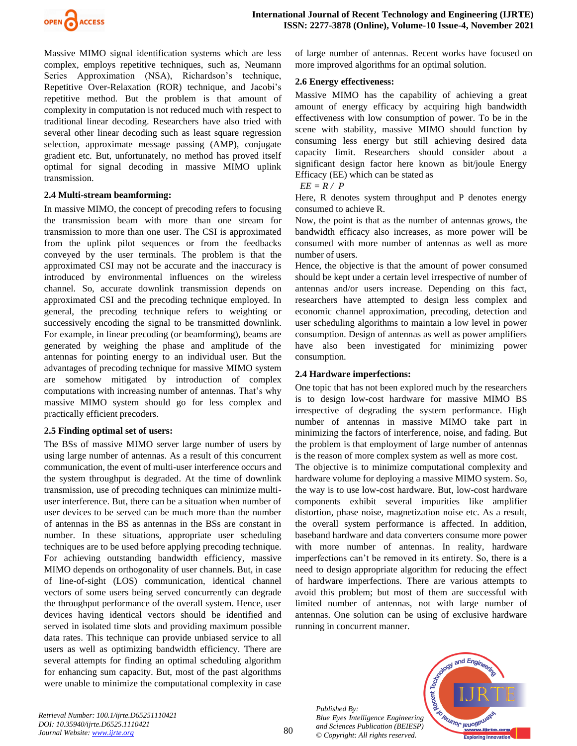

Massive MIMO signal identification systems which are less complex, employs repetitive techniques, such as, Neumann Series Approximation (NSA), Richardson's technique, Repetitive Over-Relaxation (ROR) technique, and Jacobi's repetitive method. But the problem is that amount of complexity in computation is not reduced much with respect to traditional linear decoding. Researchers have also tried with several other linear decoding such as least square regression selection, approximate message passing (AMP), conjugate gradient etc. But, unfortunately, no method has proved itself optimal for signal decoding in massive MIMO uplink transmission.

#### **2.4 Multi-stream beamforming:**

In massive MIMO, the concept of precoding refers to focusing the transmission beam with more than one stream for transmission to more than one user. The CSI is approximated from the uplink pilot sequences or from the feedbacks conveyed by the user terminals. The problem is that the approximated CSI may not be accurate and the inaccuracy is introduced by environmental influences on the wireless channel. So, accurate downlink transmission depends on approximated CSI and the precoding technique employed. In general, the precoding technique refers to weighting or successively encoding the signal to be transmitted downlink. For example, in linear precoding (or beamforming), beams are generated by weighing the phase and amplitude of the antennas for pointing energy to an individual user. But the advantages of precoding technique for massive MIMO system are somehow mitigated by introduction of complex computations with increasing number of antennas. That's why massive MIMO system should go for less complex and practically efficient precoders.

#### **2.5 Finding optimal set of users:**

The BSs of massive MIMO server large number of users by using large number of antennas. As a result of this concurrent communication, the event of multi-user interference occurs and the system throughput is degraded. At the time of downlink transmission, use of precoding techniques can minimize multiuser interference. But, there can be a situation when number of user devices to be served can be much more than the number of antennas in the BS as antennas in the BSs are constant in number. In these situations, appropriate user scheduling techniques are to be used before applying precoding technique. For achieving outstanding bandwidth efficiency, massive MIMO depends on orthogonality of user channels. But, in case of line-of-sight (LOS) communication, identical channel vectors of some users being served concurrently can degrade the throughput performance of the overall system. Hence, user devices having identical vectors should be identified and served in isolated time slots and providing maximum possible data rates. This technique can provide unbiased service to all users as well as optimizing bandwidth efficiency. There are several attempts for finding an optimal scheduling algorithm for enhancing sum capacity. But, most of the past algorithms were unable to minimize the computational complexity in case

of large number of antennas. Recent works have focused on more improved algorithms for an optimal solution.

### **2.6 Energy effectiveness:**

Massive MIMO has the capability of achieving a great amount of energy efficacy by acquiring high bandwidth effectiveness with low consumption of power. To be in the scene with stability, massive MIMO should function by consuming less energy but still achieving desired data capacity limit. Researchers should consider about a significant design factor here known as bit/joule Energy Efficacy (EE) which can be stated as

### *EE = R / P*

Here, R denotes system throughput and P denotes energy consumed to achieve R.

Now, the point is that as the number of antennas grows, the bandwidth efficacy also increases, as more power will be consumed with more number of antennas as well as more number of users.

Hence, the objective is that the amount of power consumed should be kept under a certain level irrespective of number of antennas and/or users increase. Depending on this fact, researchers have attempted to design less complex and economic channel approximation, precoding, detection and user scheduling algorithms to maintain a low level in power consumption. Design of antennas as well as power amplifiers have also been investigated for minimizing power consumption.

## **2.4 Hardware imperfections:**

One topic that has not been explored much by the researchers is to design low-cost hardware for massive MIMO BS irrespective of degrading the system performance. High number of antennas in massive MIMO take part in minimizing the factors of interference, noise, and fading. But the problem is that employment of large number of antennas is the reason of more complex system as well as more cost.

The objective is to minimize computational complexity and hardware volume for deploying a massive MIMO system. So, the way is to use low-cost hardware. But, low-cost hardware components exhibit several impurities like amplifier distortion, phase noise, magnetization noise etc. As a result, the overall system performance is affected. In addition, baseband hardware and data converters consume more power with more number of antennas. In reality, hardware imperfections can't be removed in its entirety. So, there is a need to design appropriate algorithm for reducing the effect of hardware imperfections. There are various attempts to avoid this problem; but most of them are successful with limited number of antennas, not with large number of antennas. One solution can be using of exclusive hardware running in concurrent manner.

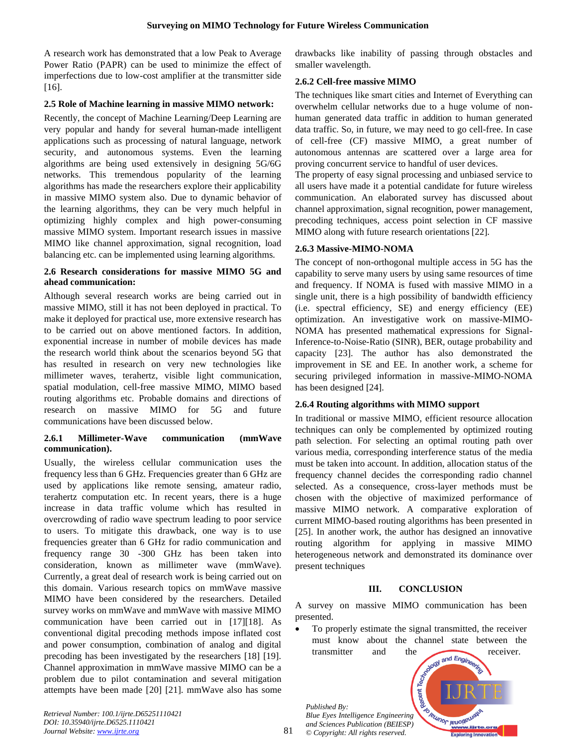A research work has demonstrated that a low Peak to Average Power Ratio (PAPR) can be used to minimize the effect of imperfections due to low-cost amplifier at the transmitter side [16].

### **2.5 Role of Machine learning in massive MIMO network:**

Recently, the concept of Machine Learning/Deep Learning are very popular and handy for several human-made intelligent applications such as processing of natural language, network security, and autonomous systems. Even the learning algorithms are being used extensively in designing 5G/6G networks. This tremendous popularity of the learning algorithms has made the researchers explore their applicability in massive MIMO system also. Due to dynamic behavior of the learning algorithms, they can be very much helpful in optimizing highly complex and high power-consuming massive MIMO system. Important research issues in massive MIMO like channel approximation, signal recognition, load balancing etc. can be implemented using learning algorithms.

### **2.6 Research considerations for massive MIMO 5G and ahead communication:**

Although several research works are being carried out in massive MIMO, still it has not been deployed in practical. To make it deployed for practical use, more extensive research has to be carried out on above mentioned factors. In addition, exponential increase in number of mobile devices has made the research world think about the scenarios beyond 5G that has resulted in research on very new technologies like millimeter waves, terahertz, visible light communication, spatial modulation, cell-free massive MIMO, MIMO based routing algorithms etc. Probable domains and directions of research on massive MIMO for 5G and future communications have been discussed below.

## **2.6.1 Millimeter-Wave communication (mmWave communication).**

Usually, the wireless cellular communication uses the frequency less than 6 GHz. Frequencies greater than 6 GHz are used by applications like remote sensing, amateur radio, terahertz computation etc. In recent years, there is a huge increase in data traffic volume which has resulted in overcrowding of radio wave spectrum leading to poor service to users. To mitigate this drawback, one way is to use frequencies greater than 6 GHz for radio communication and frequency range 30 -300 GHz has been taken into consideration, known as millimeter wave (mmWave). Currently, a great deal of research work is being carried out on this domain. Various research topics on mmWave massive MIMO have been considered by the researchers. Detailed survey works on mmWave and mmWave with massive MIMO communication have been carried out in [17][18]. As conventional digital precoding methods impose inflated cost and power consumption, combination of analog and digital precoding has been investigated by the researchers [18] [19]. Channel approximation in mmWave massive MIMO can be a problem due to pilot contamination and several mitigation attempts have been made [20] [21]. mmWave also has some

*Retrieval Number: 100.1/ijrte.D65251110421 DOI: 10.35940/ijrte.D6525.1110421 Journal Website[: www.ijrte.org](http://www.ijrte.org/)*

drawbacks like inability of passing through obstacles and smaller wavelength.

# **2.6.2 Cell-free massive MIMO**

The techniques like smart cities and Internet of Everything can overwhelm cellular networks due to a huge volume of nonhuman generated data traffic in addition to human generated data traffic. So, in future, we may need to go cell-free. In case of cell-free (CF) massive MIMO, a great number of autonomous antennas are scattered over a large area for proving concurrent service to handful of user devices.

The property of easy signal processing and unbiased service to all users have made it a potential candidate for future wireless communication. An elaborated survey has discussed about channel approximation, signal recognition, power management, precoding techniques, access point selection in CF massive MIMO along with future research orientations [22].

# **2.6.3 Massive-MIMO-NOMA**

The concept of non-orthogonal multiple access in 5G has the capability to serve many users by using same resources of time and frequency. If NOMA is fused with massive MIMO in a single unit, there is a high possibility of bandwidth efficiency (i.e. spectral efficiency, SE) and energy efficiency (EE) optimization. An investigative work on massive-MIMO-NOMA has presented mathematical expressions for Signal-Inference-to-Noise-Ratio (SINR), BER, outage probability and capacity [23]. The author has also demonstrated the improvement in SE and EE. In another work, a scheme for securing privileged information in massive-MIMO-NOMA has been designed [24].

# **2.6.4 Routing algorithms with MIMO support**

In traditional or massive MIMO, efficient resource allocation techniques can only be complemented by optimized routing path selection. For selecting an optimal routing path over various media, corresponding interference status of the media must be taken into account. In addition, allocation status of the frequency channel decides the corresponding radio channel selected. As a consequence, cross-layer methods must be chosen with the objective of maximized performance of massive MIMO network. A comparative exploration of current MIMO-based routing algorithms has been presented in [25]. In another work, the author has designed an innovative routing algorithm for applying in massive MIMO heterogeneous network and demonstrated its dominance over present techniques

# **III. CONCLUSION**

A survey on massive MIMO communication has been presented.

• To properly estimate the signal transmitted, the receiver must know about the channel state between the

*Published By: Blue Eyes Intelligence Engineering and Sciences Publication (BEIESP) © Copyright: All rights reserved.*



81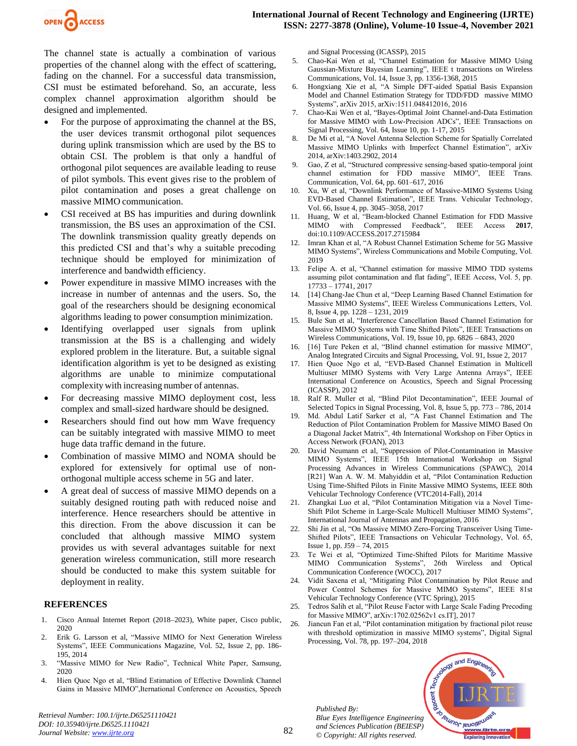

The channel state is actually a combination of various properties of the channel along with the effect of scattering, fading on the channel. For a successful data transmission, CSI must be estimated beforehand. So, an accurate, less complex channel approximation algorithm should be designed and implemented.

- For the purpose of approximating the channel at the BS, the user devices transmit orthogonal pilot sequences during uplink transmission which are used by the BS to obtain CSI. The problem is that only a handful of orthogonal pilot sequences are available leading to reuse of pilot symbols. This event gives rise to the problem of pilot contamination and poses a great challenge on massive MIMO communication.
- CSI received at BS has impurities and during downlink transmission, the BS uses an approximation of the CSI. The downlink transmission quality greatly depends on this predicted CSI and that's why a suitable precoding technique should be employed for minimization of interference and bandwidth efficiency.
- Power expenditure in massive MIMO increases with the increase in number of antennas and the users. So, the goal of the researchers should be designing economical algorithms leading to power consumption minimization.
- Identifying overlapped user signals from uplink transmission at the BS is a challenging and widely explored problem in the literature. But, a suitable signal identification algorithm is yet to be designed as existing algorithms are unable to minimize computational complexity with increasing number of antennas.
- For decreasing massive MIMO deployment cost, less complex and small-sized hardware should be designed.
- Researchers should find out how mm Wave frequency can be suitably integrated with massive MIMO to meet huge data traffic demand in the future.
- Combination of massive MIMO and NOMA should be explored for extensively for optimal use of nonorthogonal multiple access scheme in 5G and later.
- A great deal of success of massive MIMO depends on a suitably designed routing path with reduced noise and interference. Hence researchers should be attentive in this direction. From the above discussion it can be concluded that although massive MIMO system provides us with several advantages suitable for next generation wireless communication, still more research should be conducted to make this system suitable for deployment in reality.

#### **REFERENCES**

- 1. Cisco Annual Internet Report (2018–2023), White paper, Cisco public, 2020
- 2. Erik G. Larsson et al, "Massive MIMO for Next Generation Wireless Systems", IEEE Communications Magazine, Vol. 52, Issue 2, pp. 186- 195, 2014
- 3. "Massive MIMO for New Radio", Technical White Paper, Samsung, 2020
- 4. Hien Quoc Ngo et al, "Blind Estimation of Effective Downlink Channel Gains in Massive MIMO",Iternational Conference on Acoustics, Speech

*Retrieval Number: 100.1/ijrte.D65251110421 DOI: 10.35940/ijrte.D6525.1110421 Journal Website[: www.ijrte.org](http://www.ijrte.org/)*

and Signal Processing (ICASSP), 2015

- 5. Chao-Kai Wen et al, "Channel Estimation for Massive MIMO Using Gaussian-Mixture Bayesian Learning", IEEE t transactions on Wireless Communications, Vol. 14, Issue 3, pp. 1356-1368, 2015
- 6. Hongxiang Xie et al, "A Simple DFT-aided Spatial Basis Expansion Model and Channel Estimation Strategy for TDD/FDD massive MIMO Systems", arXiv 2015, arXiv:1511.048412016, 2016
- 7. Chao-Kai Wen et al, "Bayes-Optimal Joint Channel-and-Data Estimation for Massive MIMO with Low-Precision ADCs", IEEE Transactions on Signal Processing, Vol. 64, Issue 10, pp. 1-17, 2015
- 8. De Mi et al, "A Novel Antenna Selection Scheme for Spatially Correlated Massive MIMO Uplinks with Imperfect Channel Estimation", arXiv 2014, arXiv:1403.2902, 2014
- 9. Gao, Z et al, "Structured compressive sensing-based spatio-temporal joint channel estimation for FDD massive MIMO", IEEE Trans. Communication, Vol. 64, pp. 601–617, 2016
- 10. Xu, W et al, "Downlink Performance of Massive-MIMO Systems Using EVD-Based Channel Estimation", IEEE Trans. Vehicular Technology, Vol. 66, Issue 4, pp. 3045–3058, 2017
- 11. Huang, W et al, "Beam-blocked Channel Estimation for FDD Massive MIMO with Compressed Feedback", IEEE Access **2017**, doi:10.1109/ACCESS.2017.2715984
- 12. Imran Khan et al, "A Robust Channel Estimation Scheme for 5G Massive MIMO Systems", Wireless Communications and Mobile Computing, Vol. 2019
- 13. Felipe A. et al, "Channel estimation for massive MIMO TDD systems assuming pilot contamination and flat fading", IEEE Access, Vol. 5, pp. 17733 – 17741, 2017
- 14. [14] Chang-Jae Chun et al, "Deep Learning Based Channel Estimation for Massive MIMO Systems", IEEE Wireless Communications Letters, Vol. 8, Issue 4, pp. 1228 – 1231, 2019
- 15. Bule Sun et al, "Interference Cancellation Based Channel Estimation for Massive MIMO Systems with Time Shifted Pilots", IEEE Transactions on Wireless Communications, Vol. 19, Issue 10, pp. 6826 – 6843, 2020
- 16. [16] Ture Peken et al, "Blind channel estimation for massive MIMO", Analog Integrated Circuits and Signal Processing, Vol. 91, Issue 2, 2017
- 17. Hien Quoe Ngo et al, "EVD-Based Channel Estimation in Multicell Multiuser MIMO Systems with Very Large Antenna Arrays", IEEE International Conference on Acoustics, Speech and Signal Processing (ICASSP), 2012
- 18. Ralf R. Muller et al, "Blind Pilot Decontamination", IEEE Journal of Selected Topics in Signal Processing, Vol. 8, Issue 5, pp. 773 – 786, 2014
- 19. Md. Abdul Latif Sarker et al, "A Fast Channel Estimation and The Reduction of Pilot Contamination Problem for Massive MIMO Based On a Diagonal Jacket Matrix", 4th International Workshop on Fiber Optics in Access Network (FOAN), 2013
- 20. David Neumann et al, "Suppression of Pilot-Contamination in Massive MIMO Systems", IEEE 15th International Workshop on Signal Processing Advances in Wireless Communications (SPAWC), 2014 [R21] Wan A. W. M. Mahyiddin et al, "Pilot Contamination Reduction Using Time-Shifted Pilots in Finite Massive MIMO Systems, IEEE 80th Vehicular Technology Conference (VTC2014-Fall), 2014
- 21. Zhangkai Luo et al, "Pilot Contamination Mitigation via a Novel Time-Shift Pilot Scheme in Large-Scale Multicell Multiuser MIMO Systems", International Journal of Antennas and Propagation, 2016
- 22. Shi Jin et al, "On Massive MIMO Zero-Forcing Transceiver Using Time-Shifted Pilots", IEEE Transactions on Vehicular Technology, Vol. 65, Issue 1, pp. J59 – 74, 2015
- 23. Te Wei et al, "Optimized Time-Shifted Pilots for Maritime Massive MIMO Communication Systems", 26th Wireless and Optical Communication Conference (WOCC), 2017
- 24. Vidit Saxena et al, "Mitigating Pilot Contamination by Pilot Reuse and Power Control Schemes for Massive MIMO Systems", IEEE 81st Vehicular Technology Conference (VTC Spring), 2015
- 25. Tedros Salih et al, "Pilot Reuse Factor with Large Scale Fading Precoding for Massive MIMO", arXiv:1702.02562v1 cs.IT], 2017
- 26. Jiancun Fan et al, "Pilot contamination mitigation by fractional pilot reuse with threshold optimization in massive MIMO systems", Digital Signal Processing, Vol. 78, pp. 197–204, 2018